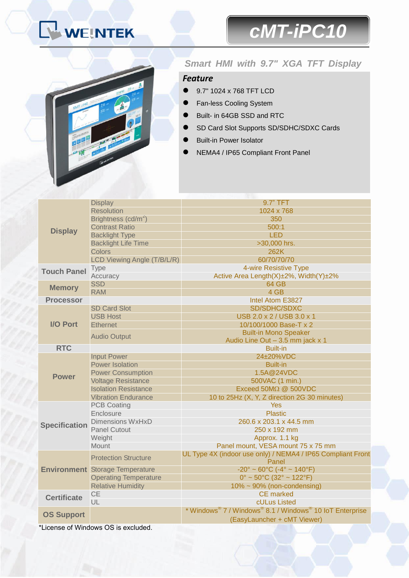# WEINTEK

## *cMT-iPC10*



#### *Smart HMI with 9.7" XGA TFT Display*

#### *Feature*

- 9.7" 1024 x 768 TFT LCD
- Fan-less Cooling System
- Built- in 64GB SSD and RTC
- SD Card Slot Supports SD/SDHC/SDXC Cards
- Built-in Power Isolator
- NEMA4 / IP65 Compliant Front Panel

| <b>Display</b>                      | <b>Display</b>                         | 9.7" TFT                                                           |
|-------------------------------------|----------------------------------------|--------------------------------------------------------------------|
|                                     | <b>Resolution</b>                      | 1024 x 768                                                         |
|                                     | Brightness (cd/m <sup>2</sup> )        | 350                                                                |
|                                     | <b>Contrast Ratio</b>                  | 500:1                                                              |
|                                     | <b>Backlight Type</b>                  | <b>LED</b>                                                         |
|                                     | <b>Backlight Life Time</b>             | >30,000 hrs.                                                       |
|                                     | <b>Colors</b>                          | 262K                                                               |
|                                     | LCD Viewing Angle (T/B/L/R)            | 60/70/70/70                                                        |
| <b>Touch Panel</b>                  | <b>Type</b>                            | 4-wire Resistive Type                                              |
|                                     | Accuracy                               | Active Area Length(X)±2%, Width(Y)±2%                              |
| <b>Memory</b>                       | <b>SSD</b>                             | <b>64 GB</b>                                                       |
|                                     | <b>RAM</b>                             | 4 GB                                                               |
| <b>Processor</b>                    |                                        | Intel Atom E3827                                                   |
| <b>I/O Port</b>                     | <b>SD Card Slot</b>                    | SD/SDHC/SDXC                                                       |
|                                     | <b>USB Host</b>                        | USB 2.0 x 2 / USB 3.0 x 1                                          |
|                                     | <b>Ethernet</b>                        | 10/100/1000 Base-T x 2                                             |
|                                     | <b>Audio Output</b>                    | <b>Built-in Mono Speaker</b>                                       |
|                                     |                                        | Audio Line Out - 3.5 mm jack x 1                                   |
| <b>RTC</b>                          |                                        | <b>Built-in</b>                                                    |
| <b>Power</b>                        | <b>Input Power</b>                     | 24±20%VDC                                                          |
|                                     | <b>Power Isolation</b>                 | <b>Built-in</b>                                                    |
|                                     | <b>Power Consumption</b>               | 1.5A@24VDC                                                         |
|                                     | <b>Voltage Resistance</b>              | 500VAC (1 min.)                                                    |
|                                     | <b>Isolation Resistance</b>            | Exceed 50MΩ @ 500VDC                                               |
|                                     | <b>Vibration Endurance</b>             | 10 to 25Hz (X, Y, Z direction 2G 30 minutes)                       |
| <b>Specification</b>                | <b>PCB Coating</b>                     | <b>Yes</b>                                                         |
|                                     | Enclosure                              | <b>Plastic</b>                                                     |
|                                     | <b>Dimensions WxHxD</b>                | 260.6 x 203.1 x 44.5 mm                                            |
|                                     | <b>Panel Cutout</b>                    | 250 x 192 mm                                                       |
|                                     | Weight                                 | Approx. 1.1 kg                                                     |
|                                     | <b>Mount</b>                           | Panel mount, VESA mount 75 x 75 mm                                 |
|                                     | <b>Protection Structure</b>            | UL Type 4X (indoor use only) / NEMA4 / IP65 Compliant Front        |
|                                     |                                        | Panel                                                              |
|                                     | <b>Environment</b> Storage Temperature | $-20^{\circ} \sim 60^{\circ}$ C ( $-4^{\circ} \sim 140^{\circ}$ F) |
|                                     | <b>Operating Temperature</b>           | $0^{\circ}$ ~ 50 $^{\circ}$ C (32 $^{\circ}$ ~ 122 $^{\circ}$ F)   |
|                                     | <b>Relative Humidity</b>               | $10\% \sim 90\%$ (non-condensing)                                  |
| <b>Certificate</b>                  | <b>CE</b>                              | <b>CE</b> marked                                                   |
|                                     | UL                                     | cULus Listed                                                       |
| <b>OS Support</b>                   |                                        | * Windows® 7 / Windows® 8.1 / Windows® 10 IoT Enterprise           |
|                                     |                                        | (EasyLauncher + cMT Viewer)                                        |
| *License of Windows OS is excluded. |                                        |                                                                    |